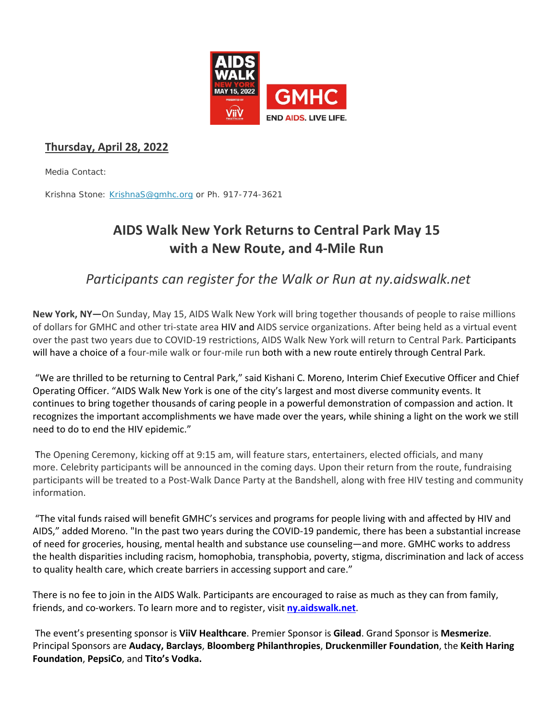

## **Thursday, April 28, 2022**

Media Contact:

Krishna Stone: [KrishnaS@gmhc.org](mailto:KrishnaS@gmhc.org) or Ph. 917-774-3621

# **AIDS Walk New York Returns to Central Park May 15 with a New Route, and 4-Mile Run**

*Participants can register for the Walk or Run at ny.aidswalk.net*

**New York, NY—**On Sunday, May 15, AIDS Walk New York will bring together thousands of people to raise millions of dollars for GMHC and other tri-state area HIV and AIDS service organizations. After being held as a virtual event over the past two years due to COVID-19 restrictions, AIDS Walk New York will return to Central Park. Participants will have a choice of a four-mile walk or four-mile run both with a new route entirely through Central Park.

"We are thrilled to be returning to Central Park," said Kishani C. Moreno, Interim Chief Executive Officer and Chief Operating Officer. "AIDS Walk New York is one of the city's largest and most diverse community events. It continues to bring together thousands of caring people in a powerful demonstration of compassion and action. It recognizes the important accomplishments we have made over the years, while shining a light on the work we still need to do to end the HIV epidemic."

The Opening Ceremony, kicking off at 9:15 am, will feature stars, entertainers, elected officials, and many more. Celebrity participants will be announced in the coming days. Upon their return from the route, fundraising participants will be treated to a Post-Walk Dance Party at the Bandshell, along with free HIV testing and community information.

"The vital funds raised will benefit GMHC's services and programs for people living with and affected by HIV and AIDS," added Moreno. "In the past two years during the COVID-19 pandemic, there has been a substantial increase of need for groceries, housing, mental health and substance use counseling—and more. GMHC works to address the health disparities including racism, homophobia, transphobia, poverty, stigma, discrimination and lack of access to quality health care, which create barriers in accessing support and care."

There is no fee to join in the AIDS Walk. Participants are encouraged to raise as much as they can from family, friends, and co-workers. To learn more and to register, visit **[ny.aidswalk.net](https://nam10.safelinks.protection.outlook.com/?url=https%3A%2F%2Fny.aidswalk.net%2F&data=05%7C01%7Ckrishnas%40gmhc.org%7Cce743efd3d5144b1b08108da292db94c%7C51720b5f3fff441eabc880380f4eadfc%7C0%7C0%7C637867573626104072%7CUnknown%7CTWFpbGZsb3d8eyJWIjoiMC4wLjAwMDAiLCJQIjoiV2luMzIiLCJBTiI6Ik1haWwiLCJXVCI6Mn0%3D%7C3000%7C%7C%7C&sdata=Q5FBE6xqIE6rvcruuKv2rsKHMLmzFgaD%2FaPzabr0HQg%3D&reserved=0)**.

The event's presenting sponsor is **ViiV Healthcare**. Premier Sponsor is **Gilead**. Grand Sponsor is **Mesmerize**. Principal Sponsors are **Audacy, Barclays**, **Bloomberg Philanthropies**, **Druckenmiller Foundation**, the **Keith Haring Foundation**, **PepsiCo**, and **Tito's Vodka.**